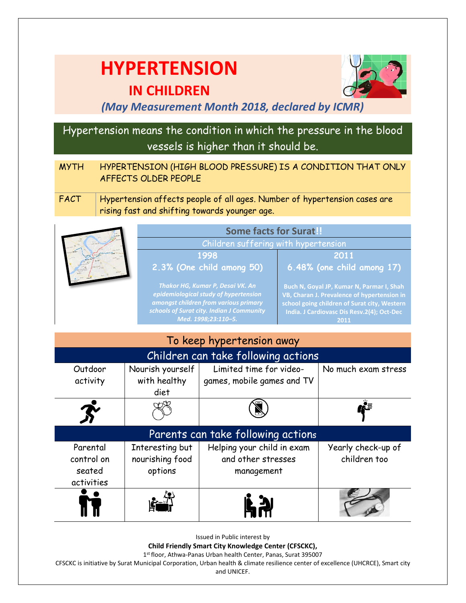# **HYPERTENSION**



## **IN CHILDREN**

### *(May Measurement Month 2018, declared by ICMR)*

## Hypertension means the condition in which the pressure in the blood vessels is higher than it should be.

- MYTH HYPERTENSION (HIGH BLOOD PRESSURE) IS A CONDITION THAT ONLY AFFECTS OLDER PEOPLE
- FACT Hypertension affects people of all ages. Number of hypertension cases are rising fast and shifting towards younger age.

|  | <b>Some facts for Surat!</b>                                                                                                                                                           |                                                                                                                                                                                                |  |
|--|----------------------------------------------------------------------------------------------------------------------------------------------------------------------------------------|------------------------------------------------------------------------------------------------------------------------------------------------------------------------------------------------|--|
|  | Children suffering with hypertension                                                                                                                                                   |                                                                                                                                                                                                |  |
|  | 1998                                                                                                                                                                                   | 2011                                                                                                                                                                                           |  |
|  | 2.3% (One child among 50)                                                                                                                                                              | 6.48% (one child among 17)                                                                                                                                                                     |  |
|  | Thakor HG, Kumar P, Desai VK. An<br>epidemiological study of hypertension<br>amongst children from various primary<br>schools of Surat city. Indian J Community<br>Med. 1998;23:110-5. | Buch N, Goyal JP, Kumar N, Parmar I, Shah<br>VB, Charan J. Prevalence of hypertension in<br>school going children of Surat city, Western<br>India. J Cardiovasc Dis Resv.2(4); Oct-Dec<br>2011 |  |

| To keep hypertension away                      |                                               |                                                                |                                    |  |
|------------------------------------------------|-----------------------------------------------|----------------------------------------------------------------|------------------------------------|--|
| Children can take following actions            |                                               |                                                                |                                    |  |
| Outdoor<br>activity                            | Nourish yourself<br>with healthy<br>diet      | Limited time for video-<br>games, mobile games and TV          | No much exam stress                |  |
|                                                |                                               |                                                                |                                    |  |
| Parents can take following actions             |                                               |                                                                |                                    |  |
| Parental<br>control on<br>seated<br>activities | Interesting but<br>nourishing food<br>options | Helping your child in exam<br>and other stresses<br>management | Yearly check-up of<br>children too |  |
|                                                |                                               | 55                                                             |                                    |  |

Issued in Public interest by

**Child Friendly Smart City Knowledge Center (CFSCKC),**

1 st floor, Athwa-Panas Urban health Center, Panas, Surat 395007

CFSCKC is initiative by Surat Municipal Corporation, Urban health & climate resilience center of excellence (UHCRCE), Smart city

and UNICEF.